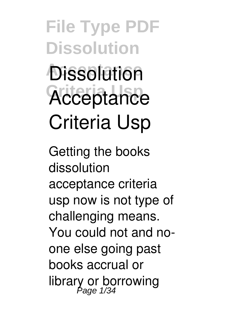**File Type PDF Dissolution Dissolution** Acceptance **Criteria Usp**

Getting the books **dissolution acceptance criteria usp** now is not type of challenging means. You could not and noone else going past books accrual or library or borrowing Page 1/34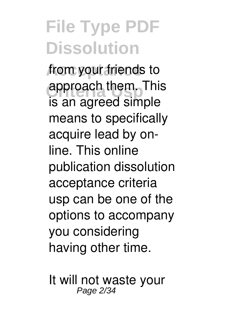from your friends to **approach them. This** is an agreed simple means to specifically acquire lead by online. This online publication dissolution acceptance criteria usp can be one of the options to accompany you considering having other time.

It will not waste your Page 2/34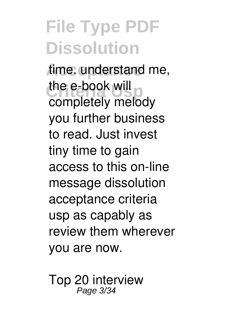time. understand me, the e-book will completely melody you further business to read. Just invest tiny time to gain access to this on-line message **dissolution acceptance criteria usp** as capably as review them wherever you are now.

**Top 20 interview** Page 3/34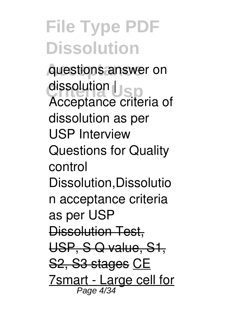**Acceptance questions answer on Criteria Usp dissolution | Acceptance criteria of dissolution as per USP** *Interview Questions for Quality control Dissolution,Dissolutio n acceptance criteria as per USP* Dissolution Test, USP, S Q value, S1, S2, S3 stages CE 7smart - Large cell for Page 4/34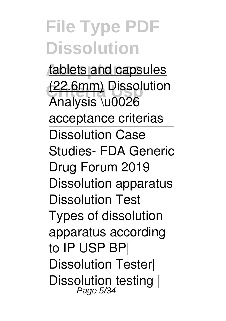tablets and capsules **Criteria Usp** (22.6mm) **Dissolution Analysis \u0026 acceptance criterias** Dissolution Case Studies- FDA Generic Drug Forum 2019 *Dissolution apparatus Dissolution Test Types of dissolution apparatus according to IP USP BP| Dissolution Tester| Dissolution testing |* Page 5/34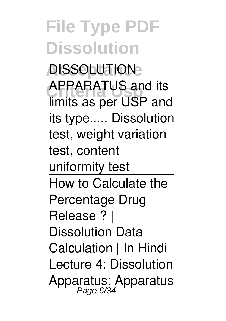**Acceptance** *DISSOLUTION* **Criteria Usp** *APPARATUS and its limits as per USP and its type.....* **Dissolution test, weight variation test, content uniformity test** How to Calculate the Percentage Drug Release ? | Dissolution Data Calculation | In Hindi **Lecture 4: Dissolution Apparatus: Apparatus** Page 6/34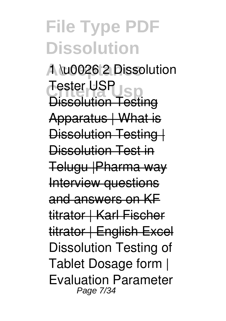**Acceptance 1 \u0026 2** *Dissolution* **Critical**<br>Disashing Tap *Tester USP* Dissolution Testing Apparatus | What is Dissolution Testing | Dissolution Test in Telugu |Pharma way Interview questions and answers on KF titrator | Karl Fischer titrator | English Excel Dissolution Testing of Tablet Dosage form | Evaluation Parameter Page 7/34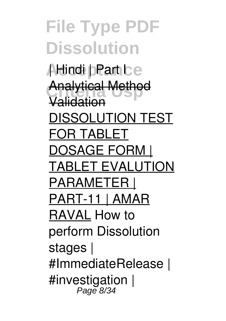**File Type PDF Dissolution** Aldindi **pPart Ice Analytical Method** Validation DISSOLUTION TEST FOR TABLET DOSAGE FORM | TABLET EVALUTION PARAMETER | PART-11 | AMAR RAVAL *How to perform Dissolution stages | #ImmediateRelease | #investigation |* Page 8/34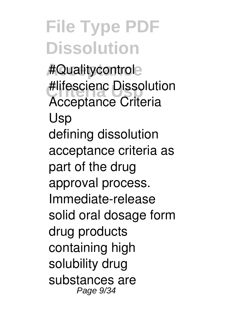**Acceptance** *#Qualitycontrol* **Criteria Usp** *#lifescienc Dissolution Acceptance Criteria Usp* defining dissolution acceptance criteria as part of the drug approval process. Immediate-release solid oral dosage form drug products containing high solubility drug substances are Page 9/34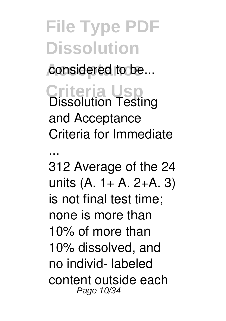# **File Type PDF Dissolution** considered to be...

**Criteria Usp** *Dissolution Testing and Acceptance Criteria for Immediate*

*...* 312 Average of the 24 units (A. 1+ A. 2+A. 3) is not final test time; none is more than 10% of more than 10% dissolved, and no individ- labeled content outside each Page 10/34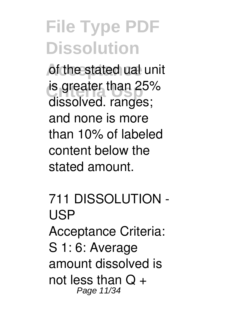of the stated ual unit **is greater than 25%** dissolved. ranges; and none is more than 10% of labeled content below the stated amount.

*711 DISSOLUTION - USP* Acceptance Criteria: S 1: 6: Average amount dissolved is not less than  $Q +$ Page 11/34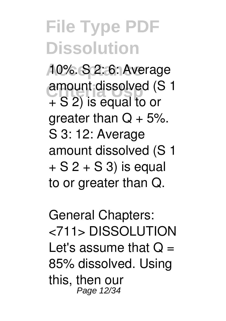**Acceptance** 10%. S 2: 6: Average amount dissolved (S 1) + S 2) is equal to or areater than  $Q + 5%$ . S 3: 12: Average amount dissolved (S 1  $+ S 2 + S 3$ ) is equal to or greater than Q.

*General Chapters: <711> DISSOLUTION* Let's assume that  $Q =$ 85% dissolved. Using this, then our Page 12/34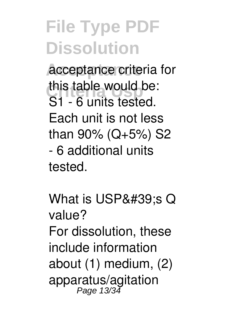**Acceptance** acceptance criteria for **Canadia** Use Canadia Use Note this table would be: S1 - 6 units tested. Each unit is not less than 90% (Q+5%) S2 - 6 additional units tested.

*What is USP's Q value?* For dissolution, these include information about (1) medium, (2) apparatus/agitation<br>Page 13/34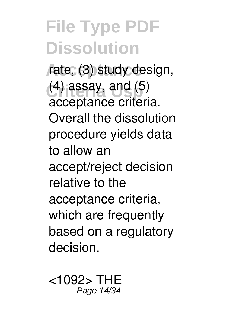rate, (3) study design, **Criteria Usp** (4) assay, and (5) acceptance criteria. Overall the dissolution procedure yields data to allow an accept/reject decision relative to the acceptance criteria, which are frequently based on a regulatory decision.

*<1092> THE* Page 14/34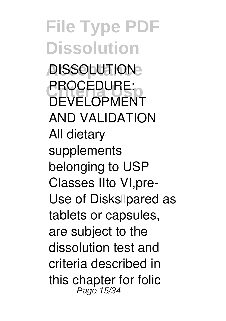**File Type PDF Dissolution Acceptance** *DISSOLUTION* **CRUCEDURE** *PROCEDURE: DEVELOPMENT AND VALIDATION* All dietary supplements belonging to USP Classes IIto VI,pre-Use of Disks<br>
<sub>[pared as]</sub> tablets or capsules, are subject to the

dissolution test and criteria described in this chapter for folic Page 15/34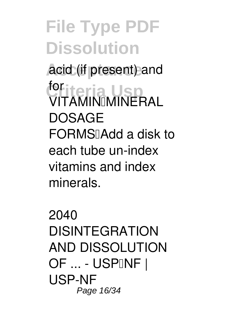acid (if present) and **Criteria Usp** for VITAMIN–MINERAL **DOSAGE** FORMSIAdd a disk to each tube un-index vitamins and index minerals.

*2040 DISINTEGRATION AND DISSOLUTION OF ... - USP–NF | USP-NF* Page 16/34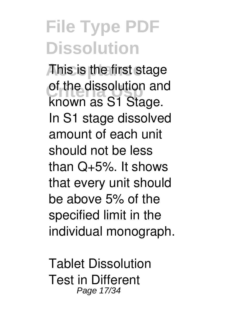*Ahis* is the first stage of the dissolution and<br> **Linewin** as C<sub>1</sub> Ctage known as S1 Stage. In S1 stage dissolved amount of each unit should not be less than Q+5%. It shows that every unit should be above 5% of the specified limit in the individual monograph.

*Tablet Dissolution Test in Different* Page 17/34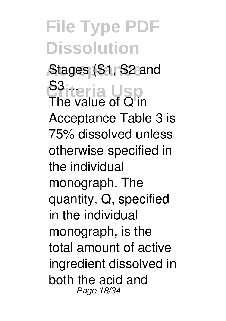**Acceptance** *Stages (S1, S2 and* **Criteria Usp** *S3 ...* The value of Q'in Acceptance Table 3 is 75% dissolved unless otherwise specified in the individual monograph. The quantity, Q, specified in the individual monograph, is the total amount of active ingredient dissolved in both the acid and Page 18/34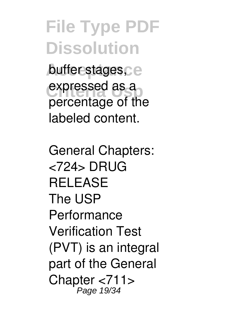buffer stages<sub>Ce</sub> expressed as a percentage of the labeled content.

*General Chapters: <724> DRUG RELEASE* The USP Performance Verification Test (PVT) is an integral part of the General Chapter <711> Page 19/34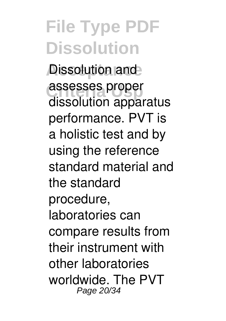**Dissolution and assesses proper** dissolution apparatus performance. PVT is a holistic test and by using the reference standard material and the standard procedure, laboratories can compare results from their instrument with other laboratories worldwide. The PVT Page 20/34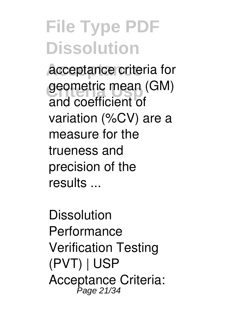**Acceptance** acceptance criteria for geometric mean (GM) and coefficient of variation (%CV) are a measure for the trueness and precision of the results ...

*Dissolution Performance Verification Testing (PVT) | USP* Acceptance Criteria: Page 21/34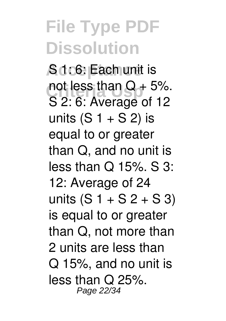**Adc6: Each unit is** not less than  $Q + 5%$ . S 2: 6: Average of 12 units  $(S_1 + S_2)$  is equal to or greater than Q, and no unit is less than Q 15%. S 3: 12: Average of 24 units  $(S_1 + S_2 + S_3)$ is equal to or greater than Q, not more than 2 units are less than Q 15%, and no unit is less than Q 25%. Page 22/34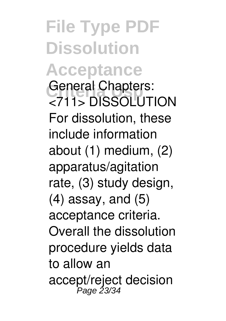**File Type PDF Dissolution Acceptance General Chapters:** *<711> DISSOLUTION* For dissolution, these include information about (1) medium, (2) apparatus/agitation rate, (3) study design, (4) assay, and (5) acceptance criteria. Overall the dissolution procedure yields data to allow an accept/reject decision Page 23/34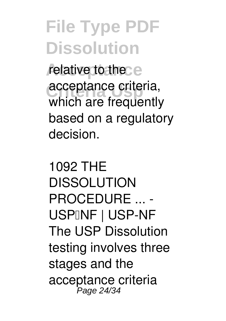relative to the e **acceptance criteria,** which are frequently based on a regulatory decision.

*1092 THE DISSOLUTION PROCEDURE ... -* USPINF | USP-NF The USP Dissolution testing involves three stages and the acceptance criteria Page 24/34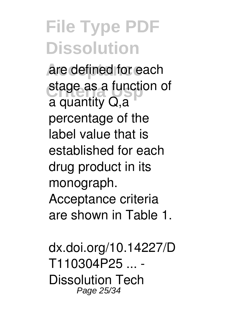are defined for each stage as a function of a quantity Q,a percentage of the label value that is established for each drug product in its monograph. Acceptance criteria are shown in Table 1.

*dx.doi.org/10.14227/D T110304P25 ... - Dissolution Tech* Page 25/34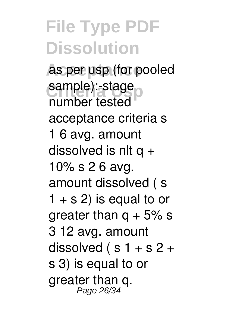as per usp (for pooled sample):-stage number tested acceptance criteria s 1 6 avg. amount dissolved is nlt  $a +$ 10% s 2 6 avg. amount dissolved ( s  $1 + s$  2) is equal to or greater than  $q + 5\%$  s 3 12 avg. amount dissolved ( $s$  1 + s 2 + s 3) is equal to or greater than q. Page 26/34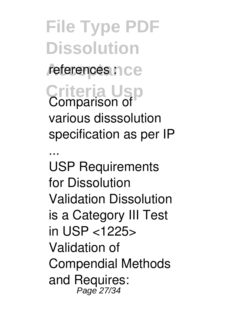**File Type PDF Dissolution** referencés n ce **Criteria Usp** *Comparison of various disssolution specification as per IP ...* USP Requirements for Dissolution Validation Dissolution is a Category III Test in USP <1225> Validation of Compendial Methods and Requires: Page 27/34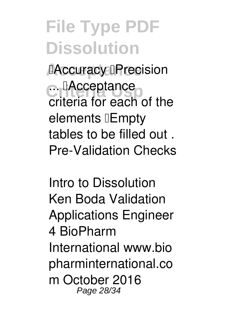**Accuracy <b>Precision C. EAcceptance** criteria for each of the elements *Empty* tables to be filled out . Pre-Validation Checks

*Intro to Dissolution Ken Boda Validation Applications Engineer* 4 BioPharm International www.bio pharminternational.co m October 2016 Page 28/34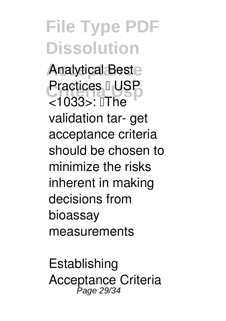Analytical Beste **Practices I** USP  $<$ 1033> $\cdot$   $\Pi$ he validation tar- get acceptance criteria should be chosen to minimize the risks inherent in making decisions from bioassay measurements

*Establishing Acceptance Criteria* Page 29/34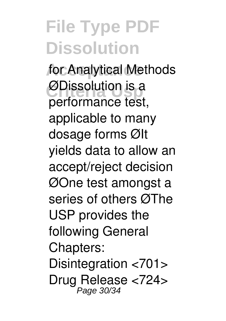**Acceptance** *for Analytical Methods* **ØDissolution is a** performance test, applicable to many dosage forms ØIt yields data to allow an accept/reject decision ØOne test amongst a series of others ØThe USP provides the following General Chapters: Disintegration <701> Drug Release <724> Page 30/34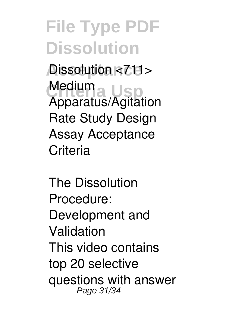**Dissolution <711>** Medium<sub>a</sub> Usp Apparatus/Agitation Rate Study Design Assay Acceptance **Criteria** 

*The Dissolution Procedure: Development and Validation* This video contains top 20 selective questions with answer Page 31/34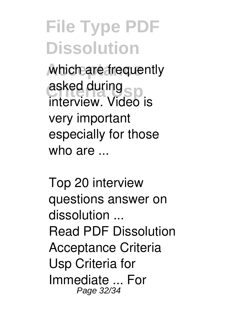which are frequently **Critical Contract On Sp** asked during interview. Video is very important especially for those who  $are$ 

*Top 20 interview questions answer on dissolution ...* Read PDF Dissolution Acceptance Criteria Usp Criteria for Immediate ... For Page 32/34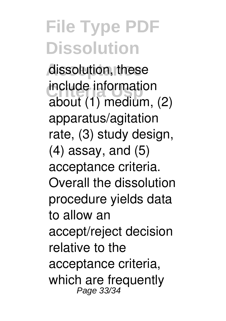dissolution, these **Include Informati** include information about (1) medium, (2) apparatus/agitation rate, (3) study design, (4) assay, and (5) acceptance criteria. Overall the dissolution procedure yields data to allow an accept/reject decision relative to the acceptance criteria, which are frequently Page 33/34